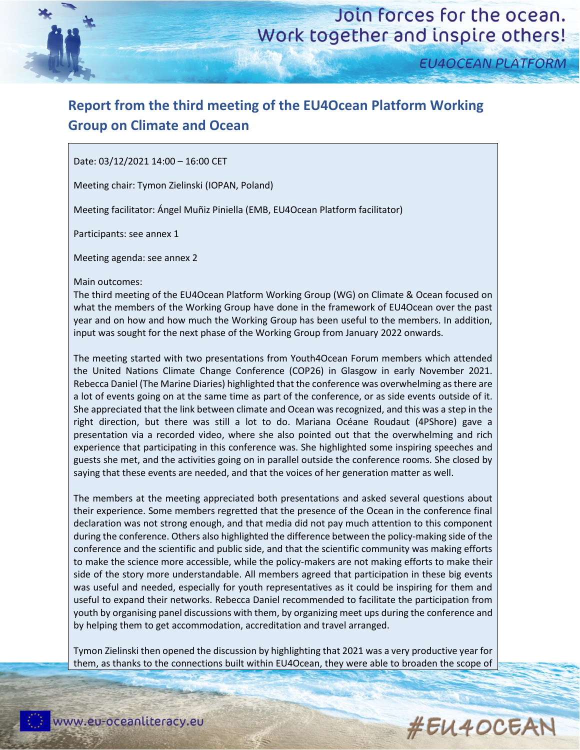

**EU4OCEAN PLATFORM** 

## **Report from the third meeting of the EU4Ocean Platform Working Group on Climate and Ocean**

Date: 03/12/2021 14:00 – 16:00 CET

Meeting chair: Tymon Zielinski (IOPAN, Poland)

Meeting facilitator: Ángel Muñiz Piniella (EMB, EU4Ocean Platform facilitator)

Participants: see annex 1

Meeting agenda: see annex 2

Main outcomes:

The third meeting of the EU4Ocean Platform Working Group (WG) on Climate & Ocean focused on what the members of the Working Group have done in the framework of EU4Ocean over the past year and on how and how much the Working Group has been useful to the members. In addition, input was sought for the next phase of the Working Group from January 2022 onwards.

The meeting started with two presentations from Youth4Ocean Forum members which attended the United Nations Climate Change Conference (COP26) in Glasgow in early November 2021. Rebecca Daniel (The Marine Diaries) highlighted that the conference was overwhelming as there are a lot of events going on at the same time as part of the conference, or as side events outside of it. She appreciated that the link between climate and Ocean was recognized, and this was a step in the right direction, but there was still a lot to do. Mariana Océane Roudaut (4PShore) gave a presentation via a recorded video, where she also pointed out that the overwhelming and rich experience that participating in this conference was. She highlighted some inspiring speeches and guests she met, and the activities going on in parallel outside the conference rooms. She closed by saying that these events are needed, and that the voices of her generation matter as well.

The members at the meeting appreciated both presentations and asked several questions about their experience. Some members regretted that the presence of the Ocean in the conference final declaration was not strong enough, and that media did not pay much attention to this component during the conference. Others also highlighted the difference between the policy-making side of the conference and the scientific and public side, and that the scientific community was making efforts to make the science more accessible, while the policy-makers are not making efforts to make their side of the story more understandable. All members agreed that participation in these big events was useful and needed, especially for youth representatives as it could be inspiring for them and useful to expand their networks. Rebecca Daniel recommended to facilitate the participation from youth by organising panel discussions with them, by organizing meet ups during the conference and by helping them to get accommodation, accreditation and travel arranged.

Tymon Zielinski then opened the discussion by highlighting that 2021 was a very productive year for them, as thanks to the connections built within EU4Ocean, they were able to broaden the scope of

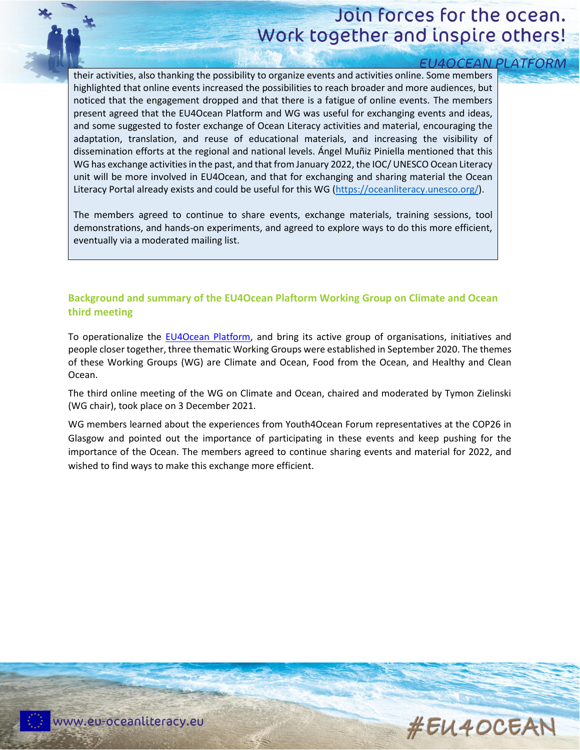# Join forces for the ocean. Work together and inspire others!

| <b>EU4OCEAN PLAT</b>                                                                                   |  |
|--------------------------------------------------------------------------------------------------------|--|
| their activities, also thanking the possibility to organize events and activities online. Some members |  |
| highlighted that online events increased the possibilities to reach broader and more audiences, but    |  |
| noticed that the engagement dropped and that there is a fatigue of online events. The members          |  |
| present agreed that the EU4Ocean Platform and WG was useful for exchanging events and ideas,           |  |
| and some suggested to foster exchange of Ocean Literacy activities and material, encouraging the       |  |
| adaptation, translation, and reuse of educational materials, and increasing the visibility of          |  |
| dissemination efforts at the regional and national levels. Angel Muñiz Piniella mentioned that this    |  |
| WG has exchange activities in the past, and that from January 2022, the IOC/ UNESCO Ocean Literacy     |  |
| unit will be more involved in EU4Ocean, and that for exchanging and sharing material the Ocean         |  |
| Literacy Portal already exists and could be useful for this WG (https://oceanliteracy.unesco.org/).    |  |
|                                                                                                        |  |
| The members agreed to continue to share events, exchange materials, training sessions, tool            |  |
| demonstrations, and hands-on experiments, and agreed to explore ways to do this more efficient,        |  |
| eventually via a moderated mailing list.                                                               |  |
|                                                                                                        |  |

### **Background and summary of the EU4Ocean Plaftorm Working Group on Climate and Ocean third meeting**

To operationalize the [EU4Ocean Platform,](https://webgate.ec.europa.eu/maritimeforum/en/frontpage/1483) and bring its active group of organisations, initiatives and people closer together, three thematic Working Groups were established in September 2020. The themes of these Working Groups (WG) are Climate and Ocean, Food from the Ocean, and Healthy and Clean Ocean.

The third online meeting of the WG on Climate and Ocean, chaired and moderated by Tymon Zielinski (WG chair), took place on 3 December 2021.

WG members learned about the experiences from Youth4Ocean Forum representatives at the COP26 in Glasgow and pointed out the importance of participating in these events and keep pushing for the importance of the Ocean. The members agreed to continue sharing events and material for 2022, and wished to find ways to make this exchange more efficient.

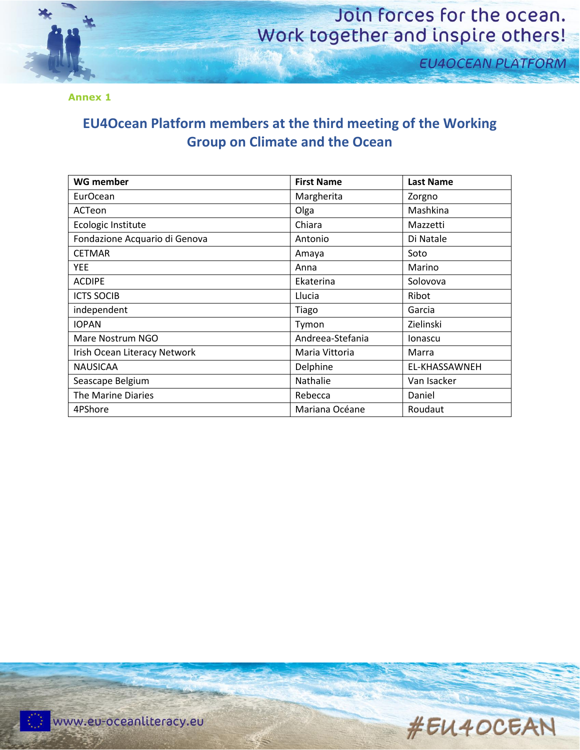

## Join forces for the ocean. Work together and inspire others!

**EU4OCEAN PLATFORM** 

**Annex 1**

### **EU4Ocean Platform members at the third meeting of the Working Group on Climate and the Ocean**

| <b>WG member</b>              | <b>First Name</b> | <b>Last Name</b> |
|-------------------------------|-------------------|------------------|
| EurOcean                      | Margherita        | Zorgno           |
| ACTeon                        | Olga              | Mashkina         |
| Ecologic Institute            | Chiara            | Mazzetti         |
| Fondazione Acquario di Genova | Antonio           | Di Natale        |
| <b>CETMAR</b>                 | Amaya             | Soto             |
| <b>YEE</b>                    | Anna              | Marino           |
| <b>ACDIPE</b>                 | Ekaterina         | Solovova         |
| <b>ICTS SOCIB</b>             | Llucia            | Ribot            |
| independent                   | Tiago             | Garcia           |
| <b>IOPAN</b>                  | Tymon             | Zielinski        |
| Mare Nostrum NGO              | Andreea-Stefania  | Ionascu          |
| Irish Ocean Literacy Network  | Maria Vittoria    | Marra            |
| <b>NAUSICAA</b>               | Delphine          | EL-KHASSAWNEH    |
| Seascape Belgium              | Nathalie          | Van Isacker      |
| The Marine Diaries            | Rebecca           | Daniel           |
| 4PShore                       | Mariana Océane    | Roudaut          |